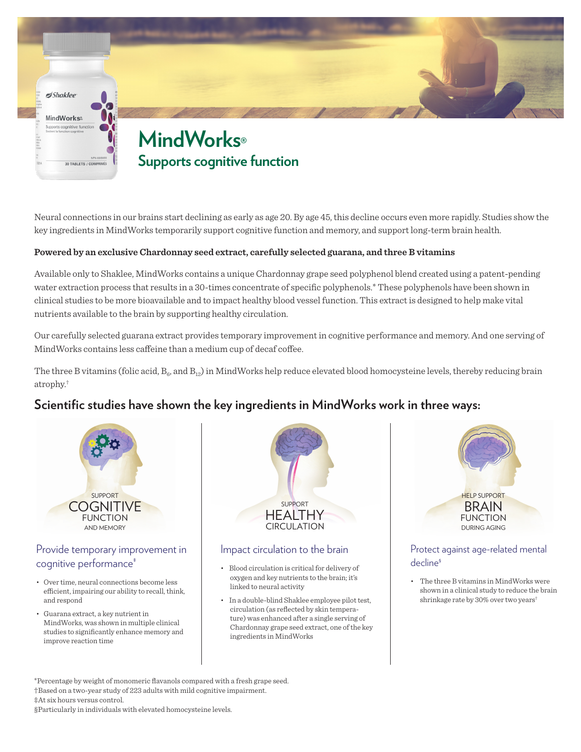

Neural connections in our brains start declining as early as age 20. By age 45, this decline occurs even more rapidly. Studies show the key ingredients in MindWorks temporarily support cognitive function and memory, and support long-term brain health.

#### **Powered by an exclusive Chardonnay seed extract, carefully selected guarana, and three B vitamins**

Available only to Shaklee, MindWorks contains a unique Chardonnay grape seed polyphenol blend created using a patent-pending water extraction process that results in a 30-times concentrate of specific polyphenols.\* These polyphenols have been shown in clinical studies to be more bioavailable and to impact healthy blood vessel function. This extract is designed to help make vital nutrients available to the brain by supporting healthy circulation.

Our carefully selected guarana extract provides temporary improvement in cognitive performance and memory. And one serving of MindWorks contains less caffeine than a medium cup of decaf coffee.

The three B vitamins (folic acid,  $B_{\alpha}$ , and  $B_{12}$ ) in MindWorks help reduce elevated blood homocysteine levels, thereby reducing brain atrophy.†

# **Scientific studies have shown the key ingredients in MindWorks work in three ways:**



#### Provide temporary improvement in cognitive performance<sup>+</sup>

- Over time, neural connections become less efficient, impairing our ability to recall, think, and respond
- Guarana extract, a key nutrient in MindWorks, was shown in multiple clinical studies to significantly enhance memory and improve reaction time



#### Impact circulation to the brain

- Blood circulation is critical for delivery of oxygen and key nutrients to the brain; it's linked to neural activity
- In a double-blind Shaklee employee pilot test, circulation (as reflected by skin temperature) was enhanced after a single serving of Chardonnay grape seed extract, one of the key ingredients in MindWorks



#### Protect against age-related mental decline§

• The three B vitamins in MindWorks were shown in a clinical study to reduce the brain shrinkage rate by 30% over two years†

\*Percentage by weight of monomeric flavanols compared with a fresh grape seed. †Based on a two-year study of 223 adults with mild cognitive impairment. ‡At six hours versus control.

§Particularly in individuals with elevated homocysteine levels.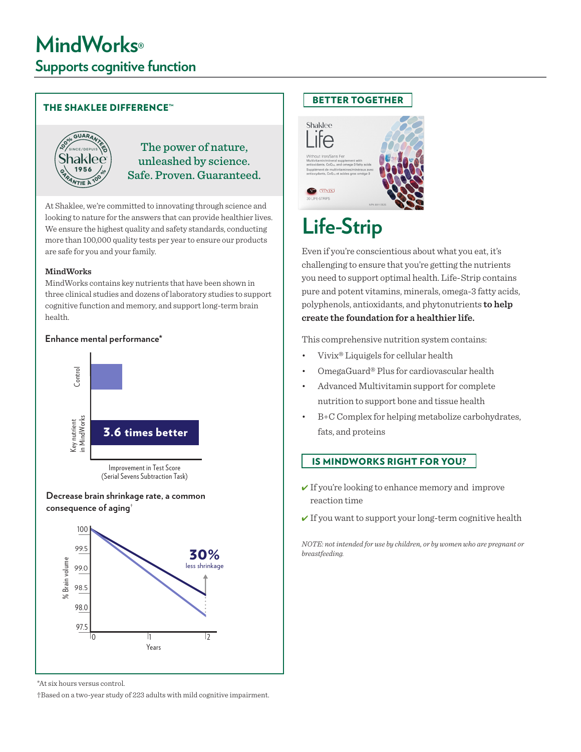#### THE SHAKLEE DIFFERENCE™



### The power of nature, unleashed by science. Safe. Proven. Guaranteed.

At Shaklee, we're committed to innovating through science and looking to nature for the answers that can provide healthier lives. We ensure the highest quality and safety standards, conducting more than 100,000 quality tests per year to ensure our products are safe for you and your family.

#### **MindWorks**

MindWorks contains key nutrients that have been shown in three clinical studies and dozens of laboratory studies to support cognitive function and memory, and support long-term brain health.

#### **Enhance mental performance\***



**Decrease brain shrinkage rate, a common** 



\*At six hours versus control.

†Based on a two-year study of 223 adults with mild cognitive impairment.

## BETTER TOGETHER



# **Life-Strip**

Even if you're conscientious about what you eat, it's challenging to ensure that you're getting the nutrients you need to support optimal health. Life-Strip contains pure and potent vitamins, minerals, omega-3 fatty acids, polyphenols, antioxidants, and phytonutrients **to help create the foundation for a healthier life.**

This comprehensive nutrition system contains:

- Vivix® Liquigels for cellular health
- OmegaGuard® Plus for cardiovascular health
- Advanced Multivitamin support for complete nutrition to support bone and tissue health
- B+C Complex for helping metabolize carbohydrates, fats, and proteins

#### IS MINDWORKS RIGHT FOR YOU?

- $\checkmark$  If you're looking to enhance memory and improve reaction time
- $\checkmark$  If you want to support your long-term cognitive health

*NOTE: not intended for use by children, or by women who are pregnant or breastfeeding.*